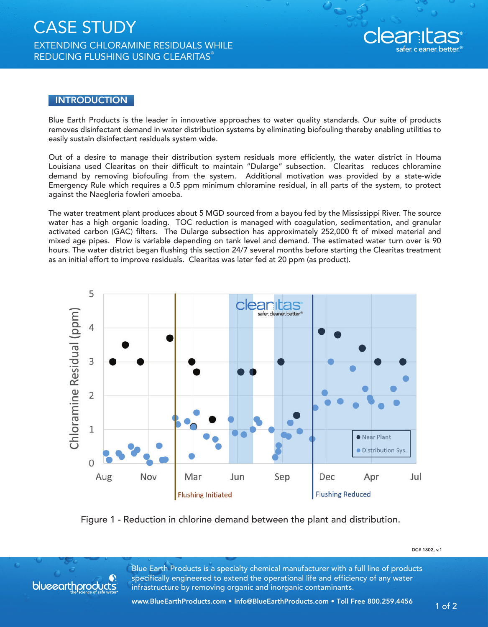

## **INTRODUCTION**

Blue Earth Products is the leader in innovative approaches to water quality standards. Our suite of products removes disinfectant demand in water distribution systems by eliminating biofouling thereby enabling utilities to easily sustain disinfectant residuals system wide.

Out of a desire to manage their distribution system residuals more efficiently, the water district in Houma Louisiana used Clearitas on their difficult to maintain "Dularge" subsection. Clearitas reduces chloramine demand by removing biofouling from the system. Additional motivation was provided by a state-wide Emergency Rule which requires a 0.5 ppm minimum chloramine residual, in all parts of the system, to protect against the Naegleria fowleri amoeba.

The water treatment plant produces about 5 MGD sourced from a bayou fed by the Mississippi River. The source water has a high organic loading. TOC reduction is managed with coagulation, sedimentation, and granular activated carbon (GAC) filters. The Dularge subsection has approximately 252,000 ft of mixed material and mixed age pipes. Flow is variable depending on tank level and demand. The estimated water turn over is 90 hours. The water district began flushing this section 24/7 several months before starting the Clearitas treatment as an initial effort to improve residuals. Clearitas was later fed at 20 ppm (as product).



Figure 1 - Reduction in chlorine demand between the plant and distribution.



Blue Earth Products is a specialty chemical manufacturer with a full line of products specifically engineered to extend the operational life and efficiency of any water **blueenrthproducts** infrastructure by removing organic and inorganic contaminants.